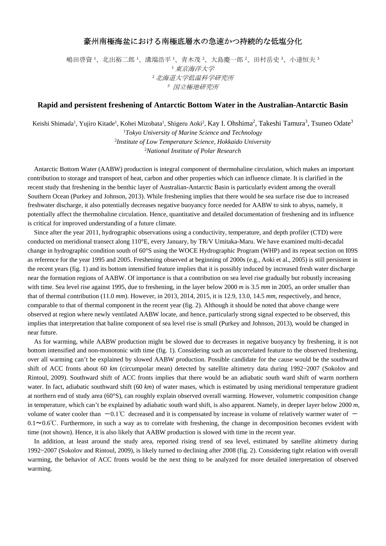## 豪州南極海盆における南極底層水の急速かつ持続的な低塩分化

嶋田啓資 '、北出裕二郎 '、溝端浩平 '、青木茂 '、大島慶一郎 '、田村岳史 '、小達恒夫 ' <sup>1</sup>東京海洋大学 <sup>2</sup>北海道大学低温科学研究所 *<sup>3</sup>* 国立極地研究所

## **Rapid and persistent freshening of Antarctic Bottom Water in the Australian-Antarctic Basin**

Keishi Shimada<sup>1</sup>, Yujiro Kitade<sup>1</sup>, Kohei Mizobata<sup>1</sup>, Shigeru Aoki<sup>2</sup>, Kay I. Ohshima<sup>2</sup>, Takeshi Tamura<sup>3</sup>, Tsuneo Odate<sup>3</sup> *Tokyo University of Marine Science and Technology Institute of Low Temperature Science, Hokkaido University National Institute of Polar Research* 

Antarctic Bottom Water (AABW) production is integral component of thermohaline circulation, which makes an important contribution to storage and transport of heat, carbon and other properties which can influence climate. It is clarified in the recent study that freshening in the benthic layer of Australian-Antarctic Basin is particularly evident among the overall Southern Ocean (Purkey and Johnson, 2013). While freshening implies that there would be sea surface rise due to increased freshwater discharge, it also potentially decreases negative buoyancy force needed for AABW to sink to abyss, namely, it potentially affect the thermohaline circulation. Hence, quantitative and detailed documentation of freshening and its influence is critical for improved understanding of a future climate.

Since after the year 2011, hydrographic observations using a conductivity, temperature, and depth profiler (CTD) were conducted on meridional transect along 110°E, every January, by TR/V Umitaka-Maru. We have examined multi-decadal change in hydrographic condition south of 60°S using the WOCE Hydrographic Program (WHP) and its repeat section on I09S as reference for the year 1995 and 2005. Freshening observed at beginning of 2000s (e.g., Aoki et al., 2005) is still persistent in the recent years (fig. 1) and its bottom intensified feature implies that it is possibly induced by increased fresh water discharge near the formation regions of AABW. Of importance is that a contribution on sea level rise gradually but robustly increasing with time. Sea level rise against 1995, due to freshening, in the layer below 2000 *m* is 3.5 *mm* in 2005, an order smaller than that of thermal contribution (11.0 *mm*). However, in 2013, 2014, 2015, it is 12.9, 13.0, 14.5 *mm*, respectively, and hence, comparable to that of thermal component in the recent year (fig. 2). Although it should be noted that above change were observed at region where newly ventilated AABW locate, and hence, particularly strong signal expected to be observed, this implies that interpretation that haline component of sea level rise is small (Purkey and Johnson, 2013), would be changed in near future.

As for warming, while AABW production might be slowed due to decreases in negative buoyancy by freshening, it is not bottom intensified and non-monotonic with time (fig. 1). Considering such an uncorrelated feature to the observed freshening, over all warming can't be explained by slowed AABW production. Possible candidate for the cause would be the southward shift of ACC fronts about 60 *km* (circumpolar mean) detected by satellite altimetry data during 1992~2007 (Sokolov and Rintoul, 2009). Southward shift of ACC fronts implies that there would be an adiabatic south ward shift of warm northern water. In fact, adiabatic southward shift (60 *km*) of water mases, which is estimated by using meridional temperature gradient at northern end of study area (60°S), can roughly explain observed overall warming. However, volumetric composition change in temperature, which can't be explained by adiabatic south ward shift, is also apparent. Namely, in deeper layer below 2000 *m*, volume of water cooler than  $-0.1^{\circ}$  decreased and it is compensated by increase in volume of relatively warmer water of  $0.1~\sim 0.6$ °C. Furthermore, in such a way as to correlate with freshening, the change in decomposition becomes evident with time (not shown). Hence, it is also likely that AABW production is slowed with time in the recent year.

In addition, at least around the study area, reported rising trend of sea level, estimated by satellite altimetry during 1992~2007 (Sokolov and Rintoul, 2009), is likely turned to declining after 2008 (fig. 2). Considering tight relation with overall warming, the behavior of ACC fronts would be the next thing to be analyzed for more detailed interpretation of observed warming.